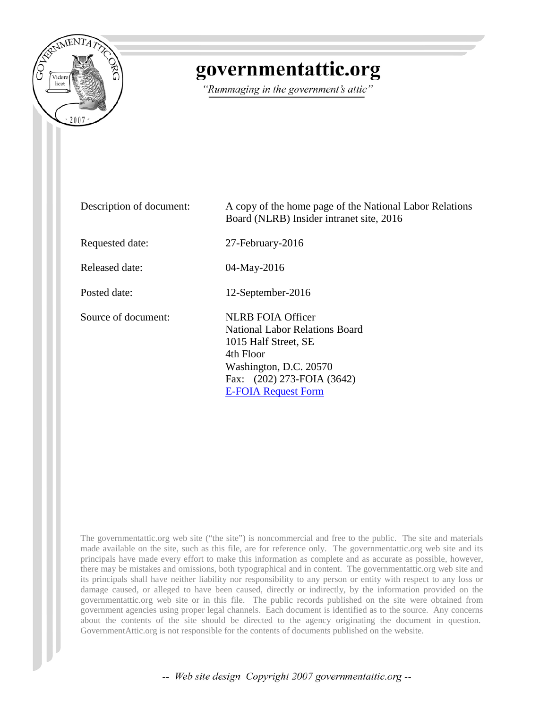

# governmentattic.org

"Rummaging in the government's attic"

| Description of document: | A copy of the home page of the National Labor Relations<br>Board (NLRB) Insider intranet site, 2016                                                                                   |
|--------------------------|---------------------------------------------------------------------------------------------------------------------------------------------------------------------------------------|
| Requested date:          | 27-February-2016                                                                                                                                                                      |
| Released date:           | 04-May-2016                                                                                                                                                                           |
| Posted date:             | 12-September-2016                                                                                                                                                                     |
| Source of document:      | <b>NLRB FOIA Officer</b><br>National Labor Relations Board<br>1015 Half Street, SE<br>4th Floor<br>Washington, D.C. 20570<br>Fax: (202) 273-FOIA (3642)<br><b>E-FOIA Request Form</b> |

The governmentattic.org web site ("the site") is noncommercial and free to the public. The site and materials made available on the site, such as this file, are for reference only. The governmentattic.org web site and its principals have made every effort to make this information as complete and as accurate as possible, however, there may be mistakes and omissions, both typographical and in content. The governmentattic.org web site and its principals shall have neither liability nor responsibility to any person or entity with respect to any loss or damage caused, or alleged to have been caused, directly or indirectly, by the information provided on the governmentattic.org web site or in this file. The public records published on the site were obtained from government agencies using proper legal channels. Each document is identified as to the source. Any concerns about the contents of the site should be directed to the agency originating the document in question. GovernmentAttic.org is not responsible for the contents of documents published on the website.

-- Web site design Copyright 2007 governmentattic.org --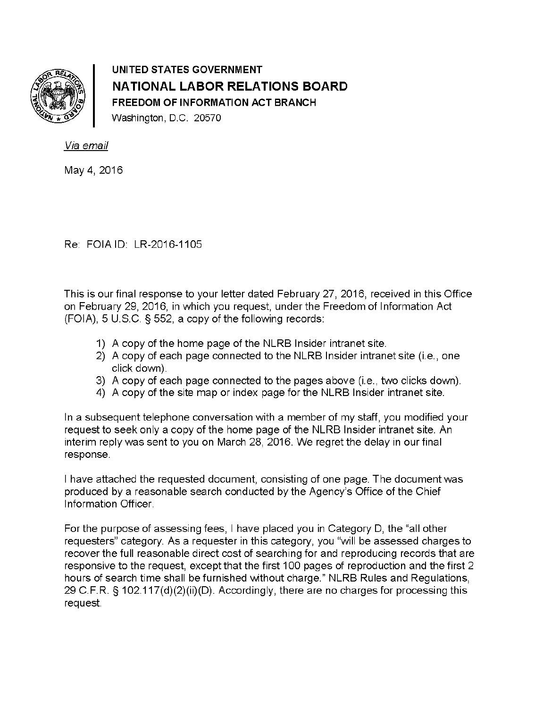

UNITED STATES GOVERNMENT NATIONAL LABOR RELATIONS BOARD FREEDOM OF INFORMATION ACT BRANCH Washington, D.C. 20570

Via email

May 4, 2016

Re: FOIA ID: LR-2016-1105

This is our final response to your letter dated February 27, 2016, received in this Office on February 29, 2016, in which you request, under the Freedom of Information Act (FOIA), 5 U.S.C. § 552, a copy of the following records:

- 1) A copy of the home page of the NLRB Insider intranet site.
- 2) A copy of each page connected to the NLRB Insider intranet site (i.e., one click down).
- 3) A copy of each page connected to the pages above (i.e., two clicks down).
- 4) A copy of the site map or index page for the NLRB Insider intranet site.

In a subsequent telephone conversation with a member of my staff, you modified your request to seek only a copy of the home page of the NLRB Insider intranet site. An interim reply was sent to you on March 28, 2016. We regret the delay in our final response.

I have attached the requested document, consisting of one page. The document was produced by a reasonable search conducted by the Agency's Office of the Chief Information Officer.

For the purpose of assessing fees, I have placed you in Category D, the "all other requesters" category. As a requester in this category, you "will be assessed charges to recover the full reasonable direct cost of searching for and reproducing records that are responsive to the request, except that the first 100 pages of reproduction and the first 2 hours of search time shall be furnished without charge." NLRB Rules and Regulations, 29 C.F.R. § 102.117(d)(2)(ii)(D). Accordingly, there are no charges for processing this request.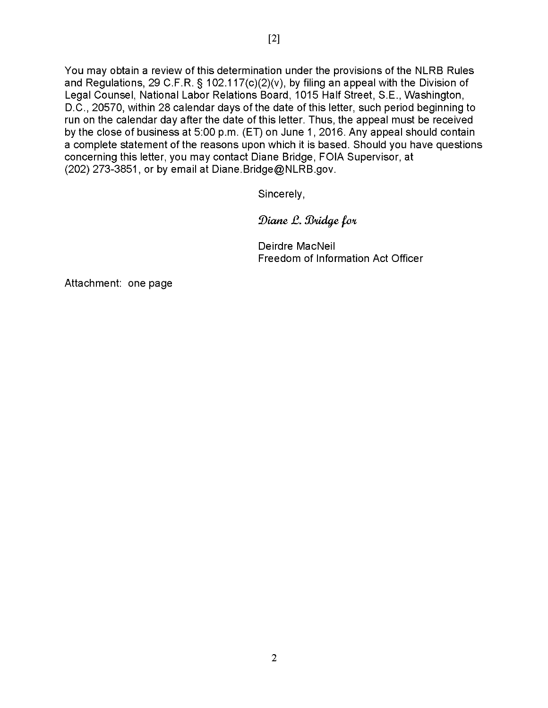You may obtain a review of this determination under the provisions of the NLRB Rules and Regulations, 29 C.F.R. § 102.117(c)(2)(v), by filing an appeal with the Division of Legal Counsel, National Labor Relations Board, 1015 Half Street, S.E., Washington, D.C., 20570, within 28 calendar days of the date of this letter, such period beginning to run on the calendar day after the date of this letter. Thus, the appeal must be received by the close of business at 5:00 p.m. (ET) on June 1, 2016. Any appeal should contain a complete statement of the reasons upon which it is based. Should you have questions concerning this letter, you may contact Diane Bridge, FOIA Supervisor, at (202) 273-3851, or by email at Diane.Bridge@NLRB.gov.

Sincerely,

Diane L. Bridge for

Deirdre MacNeil Freedom of Information Act Officer

Attachment: one page